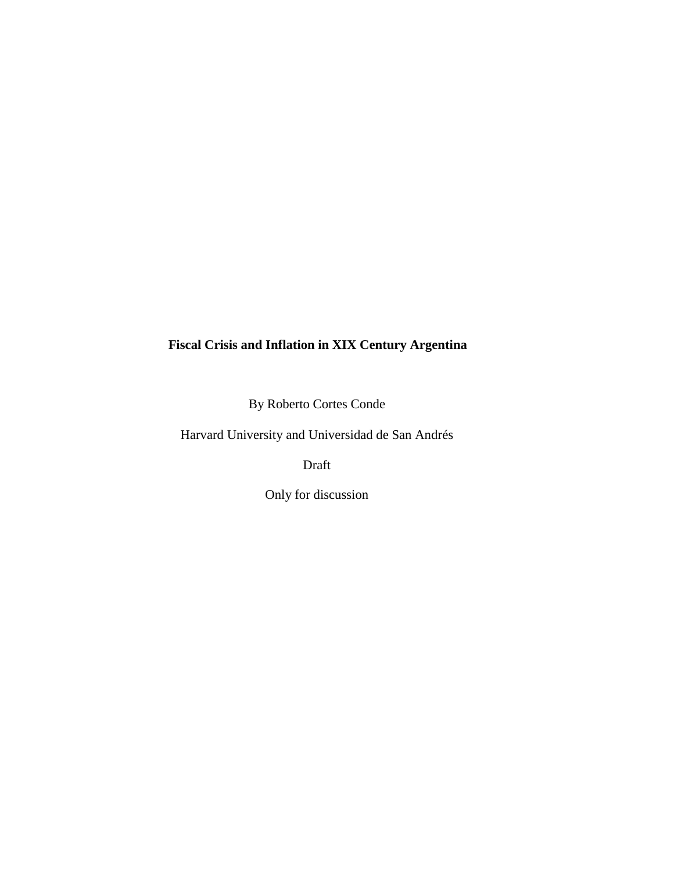# **Fiscal Crisis and Inflation in XIX Century Argentina**

By Roberto Cortes Conde

Harvard University and Universidad de San Andrés

Draft

Only for discussion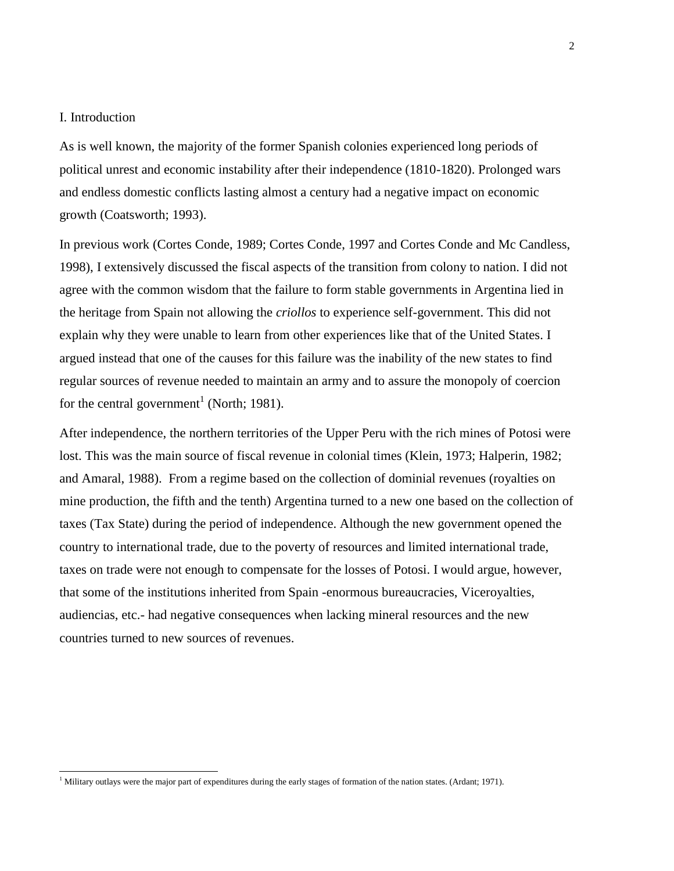### I. Introduction

l

As is well known, the majority of the former Spanish colonies experienced long periods of political unrest and economic instability after their independence (1810-1820). Prolonged wars and endless domestic conflicts lasting almost a century had a negative impact on economic growth (Coatsworth; 1993).

In previous work (Cortes Conde, 1989; Cortes Conde, 1997 and Cortes Conde and Mc Candless, 1998), I extensively discussed the fiscal aspects of the transition from colony to nation. I did not agree with the common wisdom that the failure to form stable governments in Argentina lied in the heritage from Spain not allowing the *criollos* to experience self-government. This did not explain why they were unable to learn from other experiences like that of the United States. I argued instead that one of the causes for this failure was the inability of the new states to find regular sources of revenue needed to maintain an army and to assure the monopoly of coercion for the central government<sup>1</sup> (North; 1981).

After independence, the northern territories of the Upper Peru with the rich mines of Potosi were lost. This was the main source of fiscal revenue in colonial times (Klein, 1973; Halperin, 1982; and Amaral, 1988). From a regime based on the collection of dominial revenues (royalties on mine production, the fifth and the tenth) Argentina turned to a new one based on the collection of taxes (Tax State) during the period of independence. Although the new government opened the country to international trade, due to the poverty of resources and limited international trade, taxes on trade were not enough to compensate for the losses of Potosi. I would argue, however, that some of the institutions inherited from Spain -enormous bureaucracies, Viceroyalties, audiencias, etc.- had negative consequences when lacking mineral resources and the new countries turned to new sources of revenues.

 $<sup>1</sup>$  Military outlays were the major part of expenditures during the early stages of formation of the nation states. (Ardant; 1971).</sup>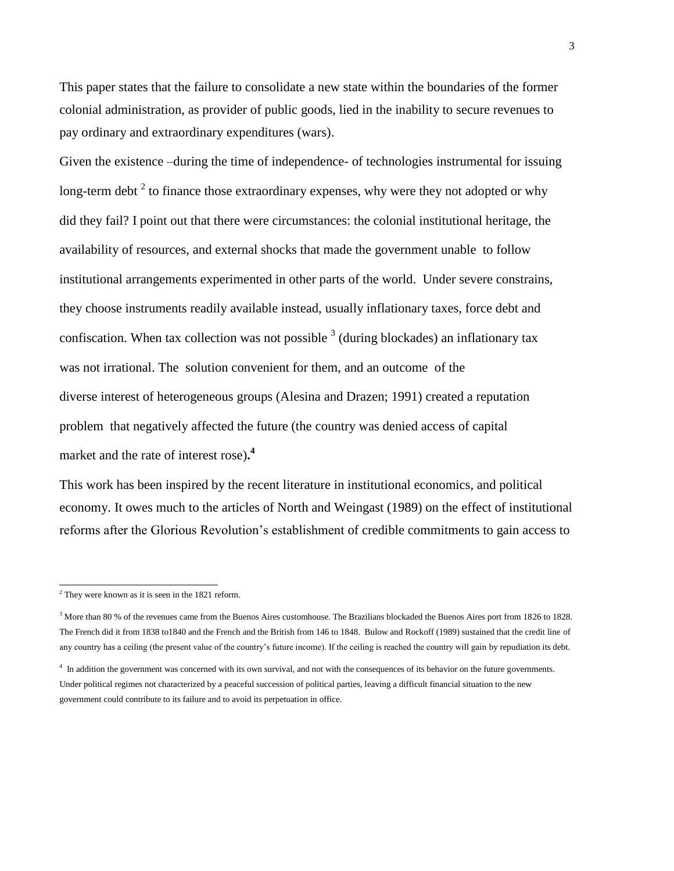This paper states that the failure to consolidate a new state within the boundaries of the former colonial administration, as provider of public goods, lied in the inability to secure revenues to pay ordinary and extraordinary expenditures (wars).

Given the existence –during the time of independence- of technologies instrumental for issuing long-term debt  $2$  to finance those extraordinary expenses, why were they not adopted or why did they fail? I point out that there were circumstances: the colonial institutional heritage, the availability of resources, and external shocks that made the government unable to follow institutional arrangements experimented in other parts of the world. Under severe constrains, they choose instruments readily available instead, usually inflationary taxes, force debt and confiscation. When tax collection was not possible  $3$  (during blockades) an inflationary tax was not irrational. The solution convenient for them, and an outcome of the diverse interest of heterogeneous groups (Alesina and Drazen; 1991) created a reputation problem that negatively affected the future (the country was denied access of capital market and the rate of interest rose)**. 4**

This work has been inspired by the recent literature in institutional economics, and political economy. It owes much to the articles of North and Weingast (1989) on the effect of institutional reforms after the Glorious Revolution's establishment of credible commitments to gain access to

 $\overline{a}$ 

 $2$ <sup>2</sup> They were known as it is seen in the 1821 reform.

<sup>&</sup>lt;sup>3</sup> More than 80 % of the revenues came from the Buenos Aires customhouse. The Brazilians blockaded the Buenos Aires port from 1826 to 1828. The French did it from 1838 to1840 and the French and the British from 146 to 1848. Bulow and Rockoff (1989) sustained that the credit line of any country has a ceiling (the present value of the country's future income). If the ceiling is reached the country will gain by repudiation its debt*.* 

<sup>&</sup>lt;sup>4</sup> In addition the government was concerned with its own survival, and not with the consequences of its behavior on the future governments. Under political regimes not characterized by a peaceful succession of political parties, leaving a difficult financial situation to the new government could contribute to its failure and to avoid its perpetuation in office.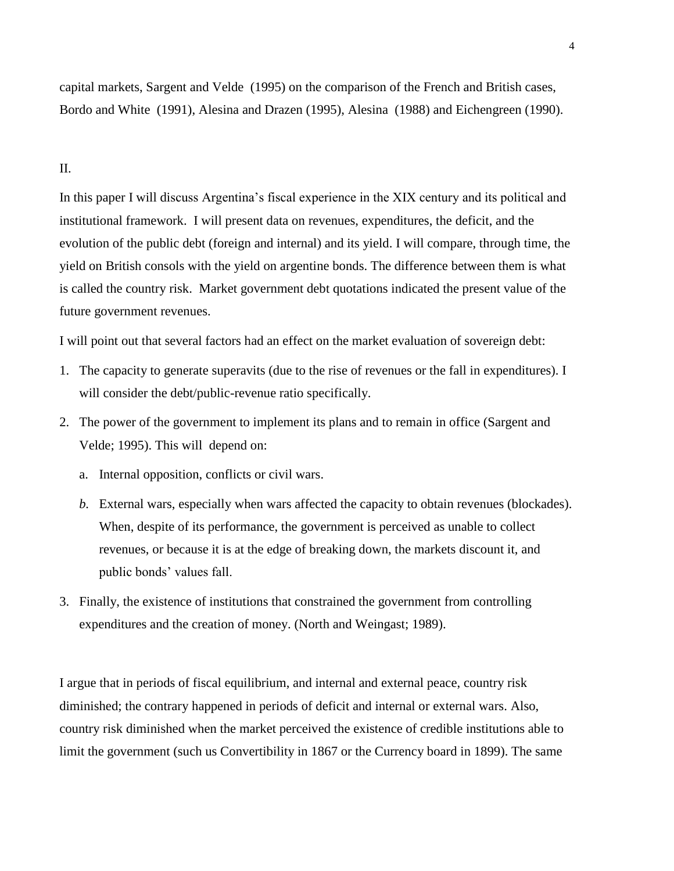capital markets, Sargent and Velde (1995) on the comparison of the French and British cases, Bordo and White (1991), Alesina and Drazen (1995), Alesina (1988) and Eichengreen (1990).

## II.

In this paper I will discuss Argentina's fiscal experience in the XIX century and its political and institutional framework. I will present data on revenues, expenditures, the deficit, and the evolution of the public debt (foreign and internal) and its yield. I will compare, through time, the yield on British consols with the yield on argentine bonds. The difference between them is what is called the country risk. Market government debt quotations indicated the present value of the future government revenues.

I will point out that several factors had an effect on the market evaluation of sovereign debt:

- 1. The capacity to generate superavits (due to the rise of revenues or the fall in expenditures). I will consider the debt/public-revenue ratio specifically.
- 2. The power of the government to implement its plans and to remain in office (Sargent and Velde; 1995). This will depend on:
	- a. Internal opposition, conflicts or civil wars.
	- *b.* External wars, especially when wars affected the capacity to obtain revenues (blockades). When, despite of its performance, the government is perceived as unable to collect revenues, or because it is at the edge of breaking down, the markets discount it, and public bonds' values fall.
- 3. Finally, the existence of institutions that constrained the government from controlling expenditures and the creation of money. (North and Weingast; 1989).

I argue that in periods of fiscal equilibrium, and internal and external peace, country risk diminished; the contrary happened in periods of deficit and internal or external wars. Also, country risk diminished when the market perceived the existence of credible institutions able to limit the government (such us Convertibility in 1867 or the Currency board in 1899). The same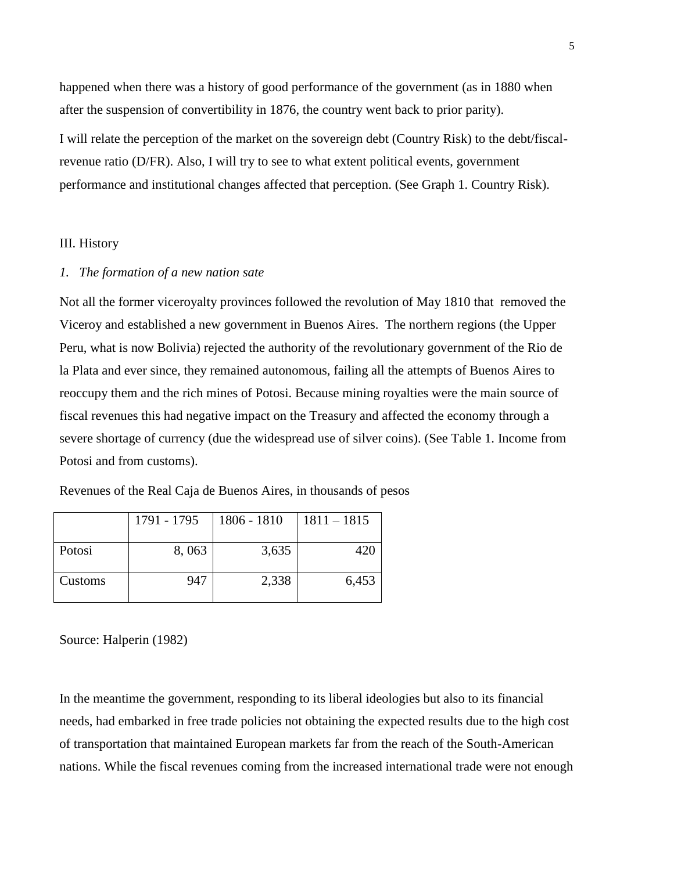happened when there was a history of good performance of the government (as in 1880 when after the suspension of convertibility in 1876, the country went back to prior parity).

I will relate the perception of the market on the sovereign debt (Country Risk) to the debt/fiscalrevenue ratio (D/FR). Also, I will try to see to what extent political events, government performance and institutional changes affected that perception. (See Graph 1. Country Risk).

## III. History

### *1. The formation of a new nation sate*

Not all the former viceroyalty provinces followed the revolution of May 1810 that removed the Viceroy and established a new government in Buenos Aires. The northern regions (the Upper Peru, what is now Bolivia) rejected the authority of the revolutionary government of the Rio de la Plata and ever since, they remained autonomous, failing all the attempts of Buenos Aires to reoccupy them and the rich mines of Potosi. Because mining royalties were the main source of fiscal revenues this had negative impact on the Treasury and affected the economy through a severe shortage of currency (due the widespread use of silver coins). (See Table 1. Income from Potosi and from customs).

|         | 1791 - 1795 | 1806 - 1810 | $1811 - 1815$ |
|---------|-------------|-------------|---------------|
| Potosi  | 8,063       | 3,635       | 420           |
| Customs | 947         | 2,338       | 6,453         |

Revenues of the Real Caja de Buenos Aires, in thousands of pesos

Source: Halperin (1982)

In the meantime the government, responding to its liberal ideologies but also to its financial needs, had embarked in free trade policies not obtaining the expected results due to the high cost of transportation that maintained European markets far from the reach of the South-American nations. While the fiscal revenues coming from the increased international trade were not enough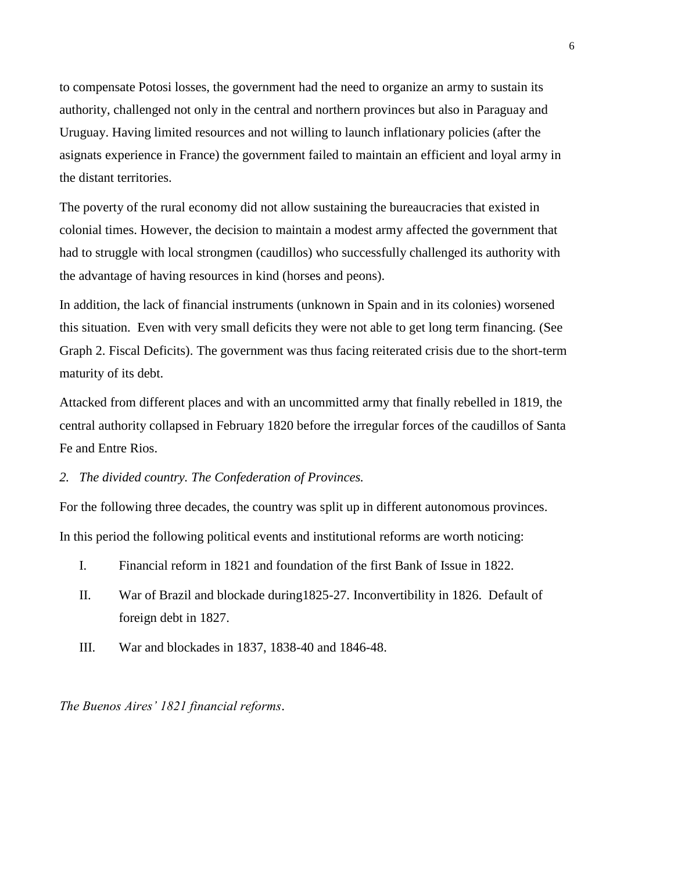to compensate Potosi losses, the government had the need to organize an army to sustain its authority, challenged not only in the central and northern provinces but also in Paraguay and Uruguay. Having limited resources and not willing to launch inflationary policies (after the asignats experience in France) the government failed to maintain an efficient and loyal army in the distant territories.

The poverty of the rural economy did not allow sustaining the bureaucracies that existed in colonial times. However, the decision to maintain a modest army affected the government that had to struggle with local strongmen (caudillos) who successfully challenged its authority with the advantage of having resources in kind (horses and peons).

In addition, the lack of financial instruments (unknown in Spain and in its colonies) worsened this situation. Even with very small deficits they were not able to get long term financing. (See Graph 2. Fiscal Deficits). The government was thus facing reiterated crisis due to the short-term maturity of its debt.

Attacked from different places and with an uncommitted army that finally rebelled in 1819, the central authority collapsed in February 1820 before the irregular forces of the caudillos of Santa Fe and Entre Rios.

*2. The divided country. The Confederation of Provinces.*

For the following three decades, the country was split up in different autonomous provinces. In this period the following political events and institutional reforms are worth noticing:

- I. Financial reform in 1821 and foundation of the first Bank of Issue in 1822.
- II. War of Brazil and blockade during1825-27. Inconvertibility in 1826. Default of foreign debt in 1827.
- III. War and blockades in 1837, 1838-40 and 1846-48.

*The Buenos Aires' 1821 financial reforms*.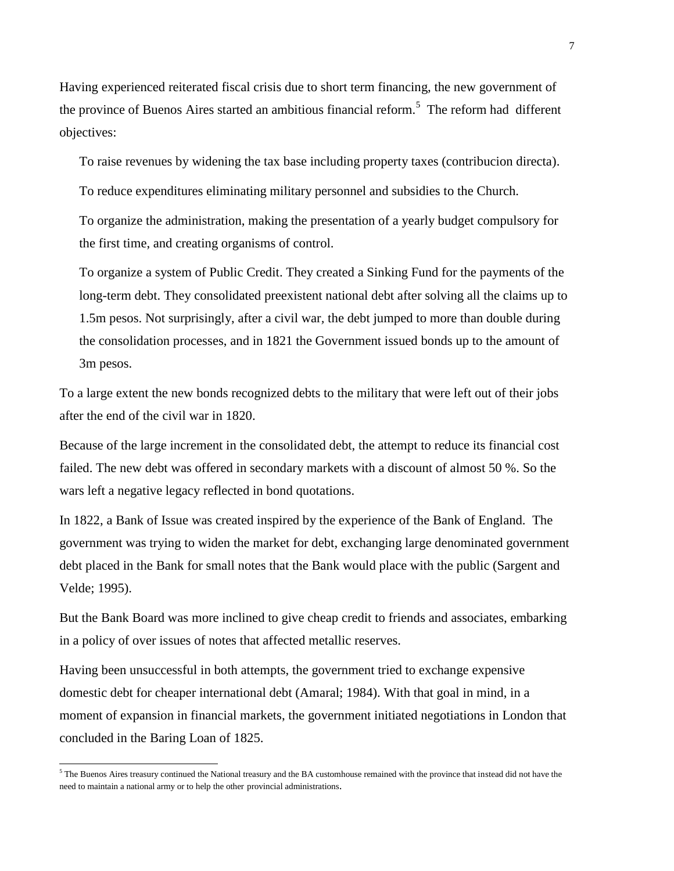Having experienced reiterated fiscal crisis due to short term financing, the new government of the province of Buenos Aires started an ambitious financial reform.<sup>5</sup> The reform had different objectives:

To raise revenues by widening the tax base including property taxes (contribucion directa).

To reduce expenditures eliminating military personnel and subsidies to the Church.

To organize the administration, making the presentation of a yearly budget compulsory for the first time, and creating organisms of control.

To organize a system of Public Credit. They created a Sinking Fund for the payments of the long-term debt. They consolidated preexistent national debt after solving all the claims up to 1.5m pesos. Not surprisingly, after a civil war*,* the debt jumped to more than double during the consolidation processes, and in 1821 the Government issued bonds up to the amount of 3m pesos.

To a large extent the new bonds recognized debts to the military that were left out of their jobs after the end of the civil war in 1820.

Because of the large increment in the consolidated debt, the attempt to reduce its financial cost failed. The new debt was offered in secondary markets with a discount of almost 50 %. So the wars left a negative legacy reflected in bond quotations.

In 1822, a Bank of Issue was created inspired by the experience of the Bank of England. The government was trying to widen the market for debt, exchanging large denominated government debt placed in the Bank for small notes that the Bank would place with the public (Sargent and Velde; 1995).

But the Bank Board was more inclined to give cheap credit to friends and associates, embarking in a policy of over issues of notes that affected metallic reserves.

Having been unsuccessful in both attempts, the government tried to exchange expensive domestic debt for cheaper international debt (Amaral; 1984). With that goal in mind, in a moment of expansion in financial markets, the government initiated negotiations in London that concluded in the Baring Loan of 1825.

 $\overline{a}$ 

 $5$  The Buenos Aires treasury continued the National treasury and the BA customhouse remained with the province that instead did not have the need to maintain a national army or to help the other provincial administrations.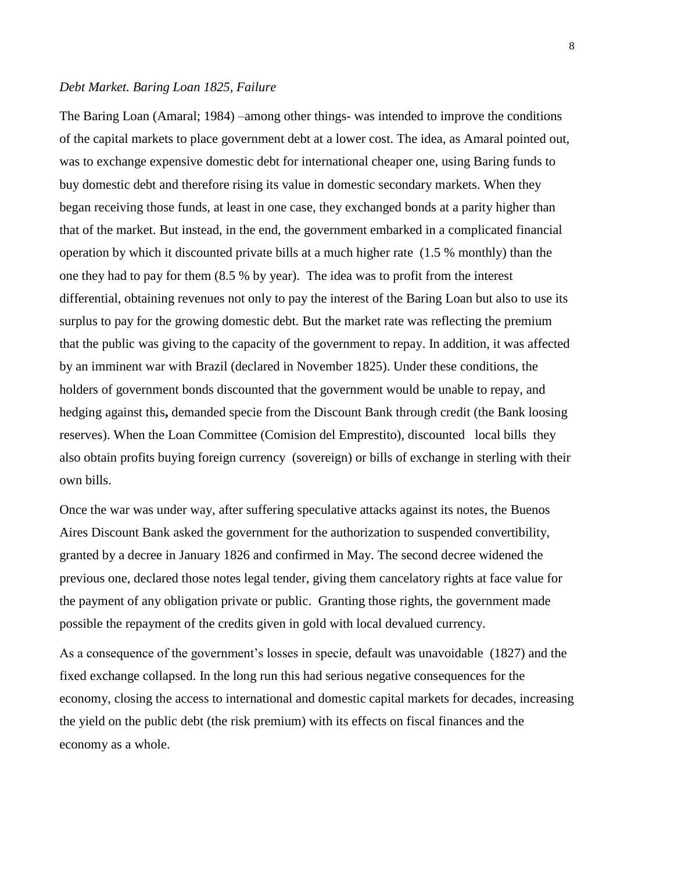#### *Debt Market. Baring Loan 1825, Failure*

The Baring Loan (Amaral; 1984) –among other things- was intended to improve the conditions of the capital markets to place government debt at a lower cost. The idea, as Amaral pointed out, was to exchange expensive domestic debt for international cheaper one, using Baring funds to buy domestic debt and therefore rising its value in domestic secondary markets. When they began receiving those funds, at least in one case, they exchanged bonds at a parity higher than that of the market. But instead, in the end, the government embarked in a complicated financial operation by which it discounted private bills at a much higher rate (1.5 % monthly) than the one they had to pay for them (8.5 % by year). The idea was to profit from the interest differential, obtaining revenues not only to pay the interest of the Baring Loan but also to use its surplus to pay for the growing domestic debt. But the market rate was reflecting the premium that the public was giving to the capacity of the government to repay. In addition, it was affected by an imminent war with Brazil (declared in November 1825). Under these conditions, the holders of government bonds discounted that the government would be unable to repay, and hedging against this**,** demanded specie from the Discount Bank through credit (the Bank loosing reserves). When the Loan Committee (Comision del Emprestito), discounted local bills they also obtain profits buying foreign currency (sovereign) or bills of exchange in sterling with their own bills.

Once the war was under way, after suffering speculative attacks against its notes, the Buenos Aires Discount Bank asked the government for the authorization to suspended convertibility, granted by a decree in January 1826 and confirmed in May. The second decree widened the previous one, declared those notes legal tender, giving them cancelatory rights at face value for the payment of any obligation private or public. Granting those rights, the government made possible the repayment of the credits given in gold with local devalued currency.

As a consequence of the government's losses in specie, default was unavoidable (1827) and the fixed exchange collapsed. In the long run this had serious negative consequences for the economy, closing the access to international and domestic capital markets for decades, increasing the yield on the public debt (the risk premium) with its effects on fiscal finances and the economy as a whole.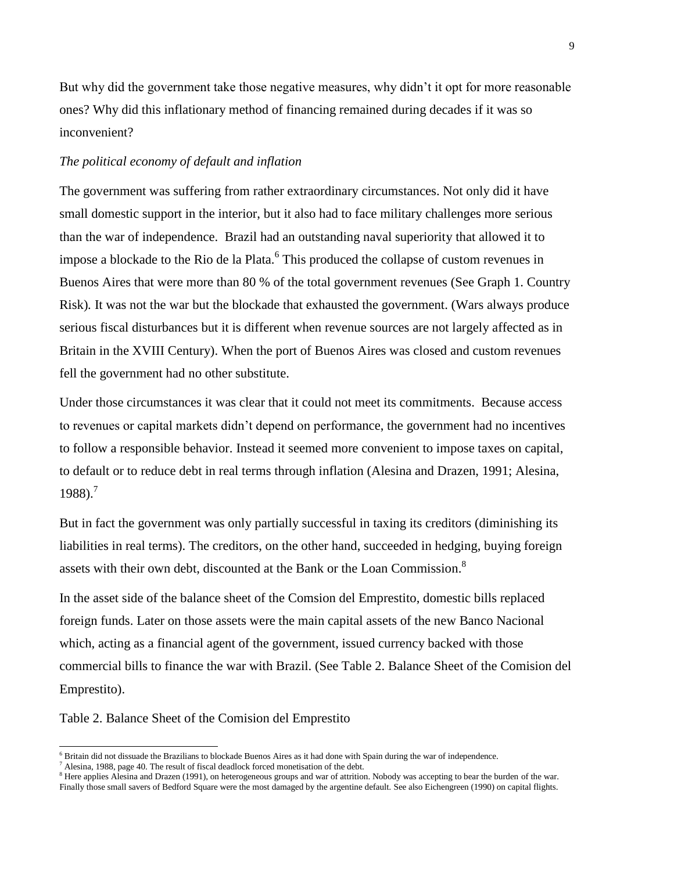But why did the government take those negative measures, why didn't it opt for more reasonable ones? Why did this inflationary method of financing remained during decades if it was so inconvenient?

#### *The political economy of default and inflation*

The government was suffering from rather extraordinary circumstances. Not only did it have small domestic support in the interior, but it also had to face military challenges more serious than the war of independence. Brazil had an outstanding naval superiority that allowed it to impose a blockade to the Rio de la Plata.<sup>6</sup> This produced the collapse of custom revenues in Buenos Aires that were more than 80 % of the total government revenues (See Graph 1. Country Risk)*.* It was not the war but the blockade that exhausted the government. (Wars always produce serious fiscal disturbances but it is different when revenue sources are not largely affected as in Britain in the XVIII Century). When the port of Buenos Aires was closed and custom revenues fell the government had no other substitute.

Under those circumstances it was clear that it could not meet its commitments. Because access to revenues or capital markets didn't depend on performance, the government had no incentives to follow a responsible behavior. Instead it seemed more convenient to impose taxes on capital, to default or to reduce debt in real terms through inflation (Alesina and Drazen, 1991; Alesina,  $1988$ ).<sup>7</sup>

But in fact the government was only partially successful in taxing its creditors (diminishing its liabilities in real terms). The creditors, on the other hand, succeeded in hedging, buying foreign assets with their own debt, discounted at the Bank or the Loan Commission.<sup>8</sup>

In the asset side of the balance sheet of the Comsion del Emprestito, domestic bills replaced foreign funds. Later on those assets were the main capital assets of the new Banco Nacional which, acting as a financial agent of the government, issued currency backed with those commercial bills to finance the war with Brazil. (See Table 2. Balance Sheet of the Comision del Emprestito).

Table 2. Balance Sheet of the Comision del Emprestito

l

<sup>&</sup>lt;sup>6</sup> Britain did not dissuade the Brazilians to blockade Buenos Aires as it had done with Spain during the war of independence.

 $^7$  Alesina, 1988, page 40. The result of fiscal deadlock forced monetisation of the debt.

<sup>&</sup>lt;sup>8</sup> Here applies Alesina and Drazen (1991), on heterogeneous groups and war of attrition. Nobody was accepting to bear the burden of the war. Finally those small savers of Bedford Square were the most damaged by the argentine default*.* See also Eichengreen (1990) on capital flights.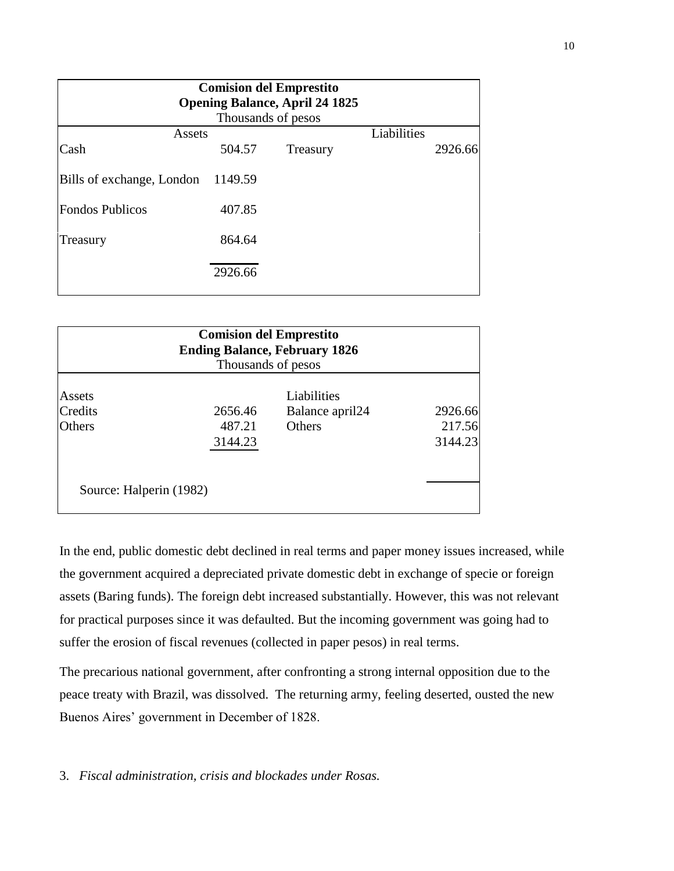| <b>Comision del Emprestito</b><br><b>Opening Balance, April 24 1825</b> |         |          |             |         |  |  |  |  |
|-------------------------------------------------------------------------|---------|----------|-------------|---------|--|--|--|--|
| Thousands of pesos                                                      |         |          |             |         |  |  |  |  |
| Assets                                                                  |         |          | Liabilities |         |  |  |  |  |
| Cash                                                                    | 504.57  | Treasury |             | 2926.66 |  |  |  |  |
| Bills of exchange, London                                               | 1149.59 |          |             |         |  |  |  |  |
| <b>Fondos Publicos</b>                                                  | 407.85  |          |             |         |  |  |  |  |
| Treasury                                                                | 864.64  |          |             |         |  |  |  |  |
|                                                                         | 2926.66 |          |             |         |  |  |  |  |

| <b>Comision del Emprestito</b><br><b>Ending Balance, February 1826</b><br>Thousands of pesos |         |                             |         |  |  |
|----------------------------------------------------------------------------------------------|---------|-----------------------------|---------|--|--|
| Assets                                                                                       |         | Liabilities                 |         |  |  |
| Credits                                                                                      | 2656.46 | Balance april <sub>24</sub> | 2926.66 |  |  |
| <b>Others</b>                                                                                | 487.21  | <b>Others</b>               | 217.56  |  |  |
|                                                                                              | 3144.23 |                             | 3144.23 |  |  |
|                                                                                              |         |                             |         |  |  |
| Source: Halperin (1982)                                                                      |         |                             |         |  |  |

In the end, public domestic debt declined in real terms and paper money issues increased, while the government acquired a depreciated private domestic debt in exchange of specie or foreign assets (Baring funds). The foreign debt increased substantially. However, this was not relevant for practical purposes since it was defaulted. But the incoming government was going had to suffer the erosion of fiscal revenues (collected in paper pesos) in real terms.

The precarious national government, after confronting a strong internal opposition due to the peace treaty with Brazil, was dissolved. The returning army, feeling deserted, ousted the new Buenos Aires' government in December of 1828.

3. *Fiscal administration, crisis and blockades under Rosas.*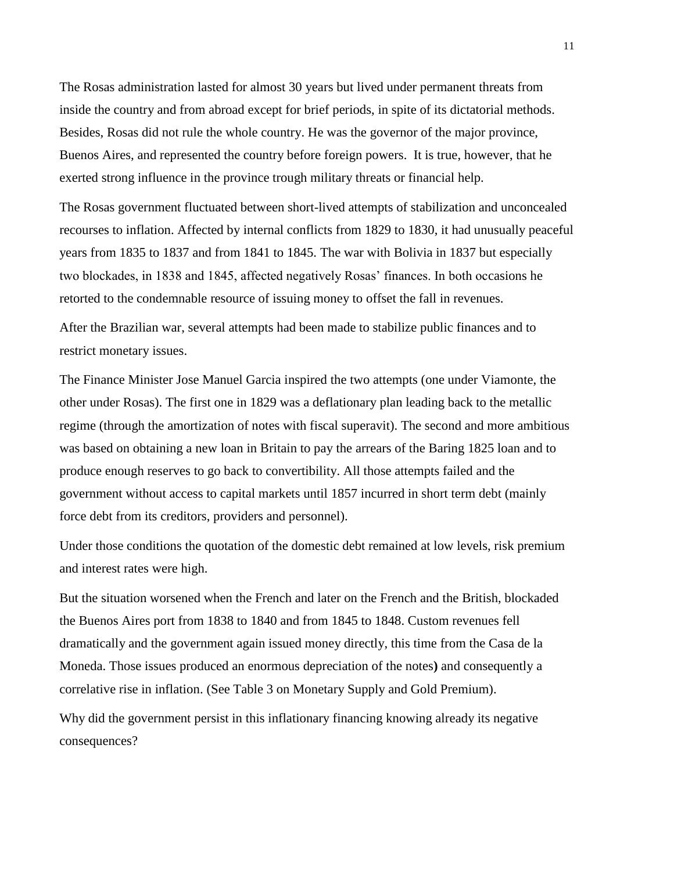The Rosas administration lasted for almost 30 years but lived under permanent threats from inside the country and from abroad except for brief periods, in spite of its dictatorial methods. Besides, Rosas did not rule the whole country. He was the governor of the major province, Buenos Aires, and represented the country before foreign powers. It is true, however, that he exerted strong influence in the province trough military threats or financial help.

The Rosas government fluctuated between short-lived attempts of stabilization and unconcealed recourses to inflation. Affected by internal conflicts from 1829 to 1830, it had unusually peaceful years from 1835 to 1837 and from 1841 to 1845. The war with Bolivia in 1837 but especially two blockades, in 1838 and 1845, affected negatively Rosas' finances. In both occasions he retorted to the condemnable resource of issuing money to offset the fall in revenues.

After the Brazilian war, several attempts had been made to stabilize public finances and to restrict monetary issues.

The Finance Minister Jose Manuel Garcia inspired the two attempts (one under Viamonte, the other under Rosas). The first one in 1829 was a deflationary plan leading back to the metallic regime (through the amortization of notes with fiscal superavit). The second and more ambitious was based on obtaining a new loan in Britain to pay the arrears of the Baring 1825 loan and to produce enough reserves to go back to convertibility. All those attempts failed and the government without access to capital markets until 1857 incurred in short term debt (mainly force debt from its creditors, providers and personnel).

Under those conditions the quotation of the domestic debt remained at low levels, risk premium and interest rates were high.

But the situation worsened when the French and later on the French and the British, blockaded the Buenos Aires port from 1838 to 1840 and from 1845 to 1848. Custom revenues fell dramatically and the government again issued money directly, this time from the Casa de la Moneda. Those issues produced an enormous depreciation of the notes**)** and consequently a correlative rise in inflation. (See Table 3 on Monetary Supply and Gold Premium).

Why did the government persist in this inflationary financing knowing already its negative consequences?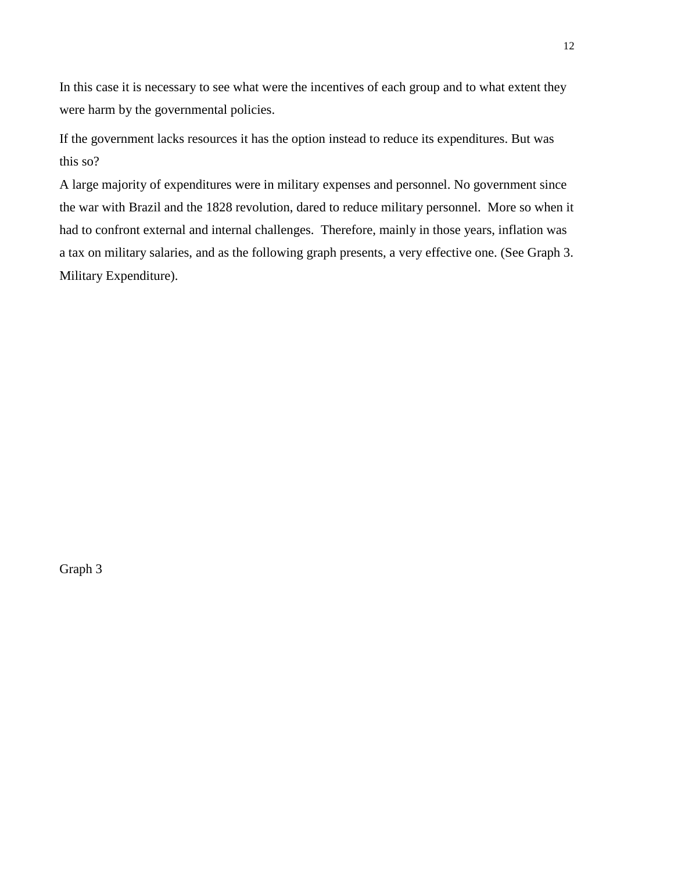In this case it is necessary to see what were the incentives of each group and to what extent they were harm by the governmental policies.

If the government lacks resources it has the option instead to reduce its expenditures. But was this so?

A large majority of expenditures were in military expenses and personnel. No government since the war with Brazil and the 1828 revolution, dared to reduce military personnel. More so when it had to confront external and internal challenges. Therefore, mainly in those years, inflation was a tax on military salaries, and as the following graph presents, a very effective one. (See Graph 3. Military Expenditure).

Graph 3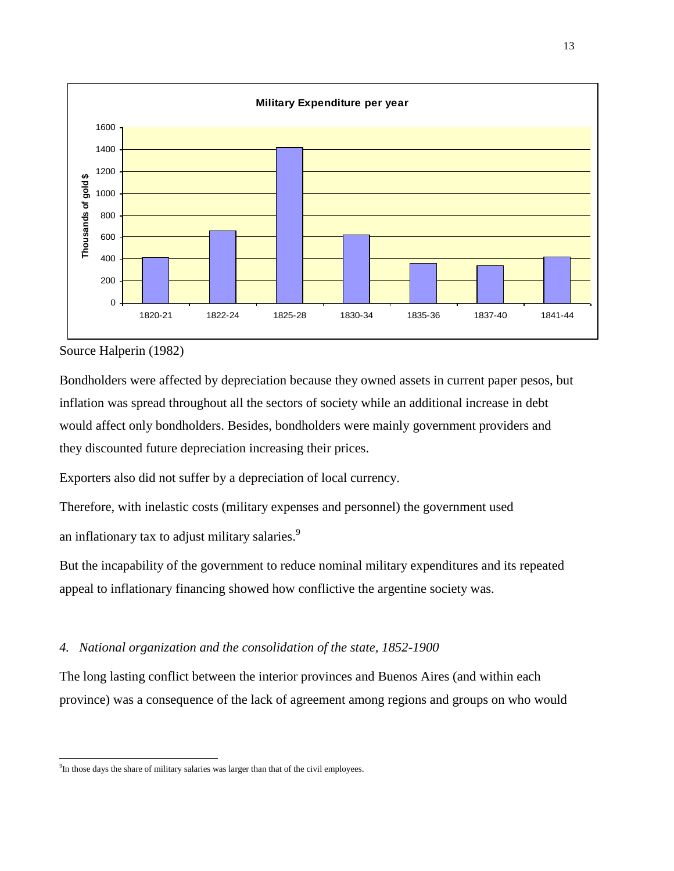

Source Halperin (1982)

 $\overline{a}$ 

Bondholders were affected by depreciation because they owned assets in current paper pesos, but inflation was spread throughout all the sectors of society while an additional increase in debt would affect only bondholders. Besides, bondholders were mainly government providers and they discounted future depreciation increasing their prices.

Exporters also did not suffer by a depreciation of local currency.

Therefore, with inelastic costs (military expenses and personnel) the government used

an inflationary tax to adjust military salaries.<sup>9</sup>

But the incapability of the government to reduce nominal military expenditures and its repeated appeal to inflationary financing showed how conflictive the argentine society was.

## *4. National organization and the consolidation of the state, 1852-1900*

The long lasting conflict between the interior provinces and Buenos Aires (and within each province) was a consequence of the lack of agreement among regions and groups on who would

<sup>&</sup>lt;sup>9</sup>In those days the share of military salaries was larger than that of the civil employees.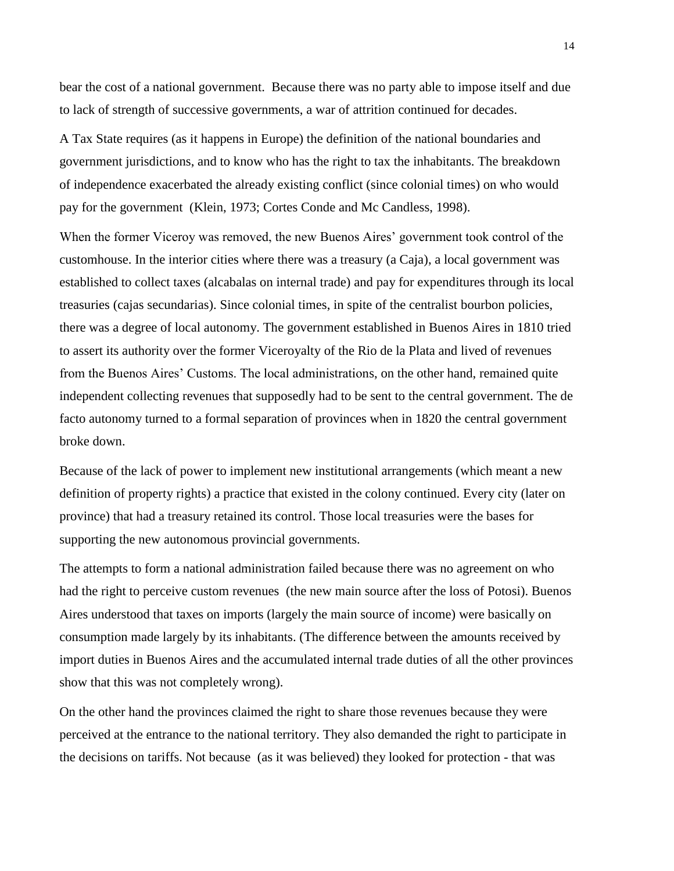bear the cost of a national government. Because there was no party able to impose itself and due to lack of strength of successive governments, a war of attrition continued for decades.

A Tax State requires (as it happens in Europe) the definition of the national boundaries and government jurisdictions, and to know who has the right to tax the inhabitants. The breakdown of independence exacerbated the already existing conflict (since colonial times) on who would pay for the government (Klein, 1973; Cortes Conde and Mc Candless, 1998).

When the former Viceroy was removed, the new Buenos Aires' government took control of the customhouse. In the interior cities where there was a treasury (a Caja), a local government was established to collect taxes (alcabalas on internal trade) and pay for expenditures through its local treasuries (cajas secundarias). Since colonial times, in spite of the centralist bourbon policies, there was a degree of local autonomy. The government established in Buenos Aires in 1810 tried to assert its authority over the former Viceroyalty of the Rio de la Plata and lived of revenues from the Buenos Aires' Customs. The local administrations, on the other hand, remained quite independent collecting revenues that supposedly had to be sent to the central government. The de facto autonomy turned to a formal separation of provinces when in 1820 the central government broke down.

Because of the lack of power to implement new institutional arrangements (which meant a new definition of property rights) a practice that existed in the colony continued. Every city (later on province) that had a treasury retained its control. Those local treasuries were the bases for supporting the new autonomous provincial governments.

The attempts to form a national administration failed because there was no agreement on who had the right to perceive custom revenues (the new main source after the loss of Potosi). Buenos Aires understood that taxes on imports (largely the main source of income) were basically on consumption made largely by its inhabitants. (The difference between the amounts received by import duties in Buenos Aires and the accumulated internal trade duties of all the other provinces show that this was not completely wrong).

On the other hand the provinces claimed the right to share those revenues because they were perceived at the entrance to the national territory. They also demanded the right to participate in the decisions on tariffs. Not because (as it was believed) they looked for protection - that was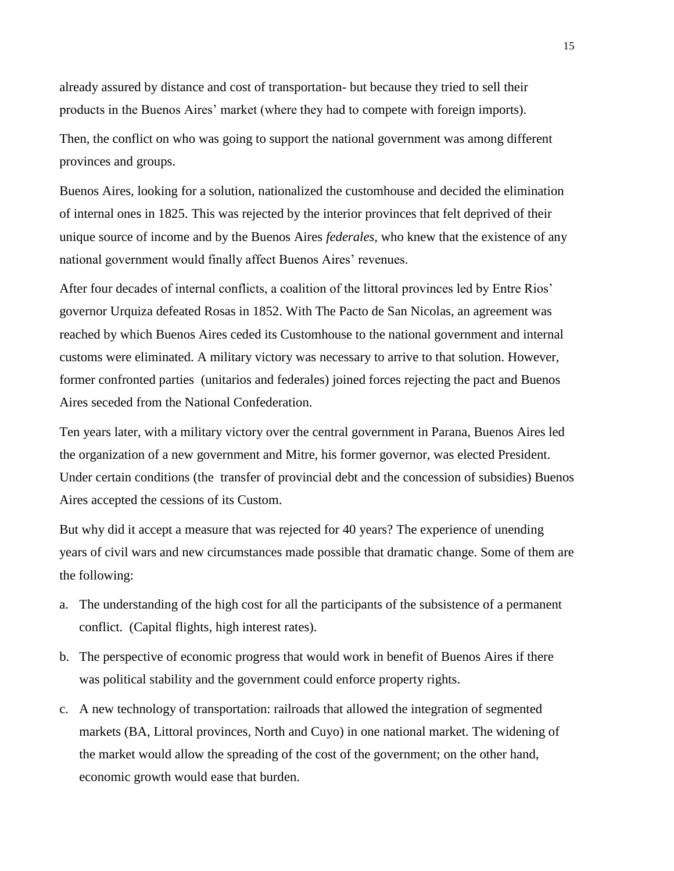already assured by distance and cost of transportation- but because they tried to sell their products in the Buenos Aires' market (where they had to compete with foreign imports).

Then, the conflict on who was going to support the national government was among different provinces and groups.

Buenos Aires, looking for a solution, nationalized the customhouse and decided the elimination of internal ones in 1825. This was rejected by the interior provinces that felt deprived of their unique source of income and by the Buenos Aires *federales,* who knew that the existence of any national government would finally affect Buenos Aires' revenues.

After four decades of internal conflicts, a coalition of the littoral provinces led by Entre Rios' governor Urquiza defeated Rosas in 1852. With The Pacto de San Nicolas, an agreement was reached by which Buenos Aires ceded its Customhouse to the national government and internal customs were eliminated. A military victory was necessary to arrive to that solution. However, former confronted parties (unitarios and federales) joined forces rejecting the pact and Buenos Aires seceded from the National Confederation.

Ten years later, with a military victory over the central government in Parana, Buenos Aires led the organization of a new government and Mitre, his former governor, was elected President. Under certain conditions (the transfer of provincial debt and the concession of subsidies) Buenos Aires accepted the cessions of its Custom.

But why did it accept a measure that was rejected for 40 years? The experience of unending years of civil wars and new circumstances made possible that dramatic change. Some of them are the following:

- a. The understanding of the high cost for all the participants of the subsistence of a permanent conflict. (Capital flights, high interest rates).
- b. The perspective of economic progress that would work in benefit of Buenos Aires if there was political stability and the government could enforce property rights.
- c. A new technology of transportation: railroads that allowed the integration of segmented markets (BA, Littoral provinces, North and Cuyo) in one national market. The widening of the market would allow the spreading of the cost of the government; on the other hand, economic growth would ease that burden.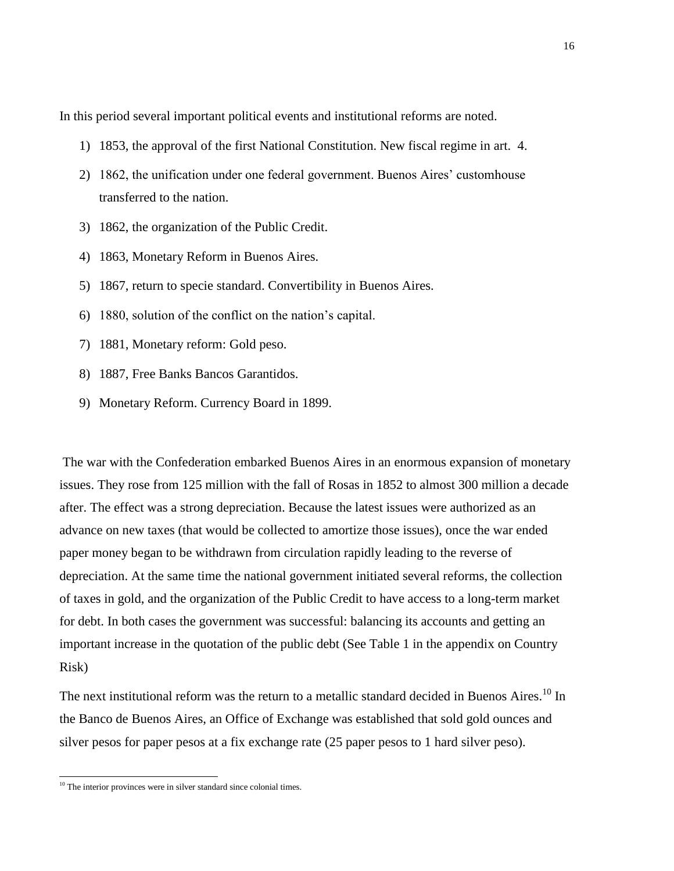In this period several important political events and institutional reforms are noted.

- 1) 1853, the approval of the first National Constitution. New fiscal regime in art. 4.
- 2) 1862, the unification under one federal government. Buenos Aires' customhouse transferred to the nation.
- 3) 1862, the organization of the Public Credit.
- 4) 1863, Monetary Reform in Buenos Aires.
- 5) 1867, return to specie standard. Convertibility in Buenos Aires.
- 6) 1880, solution of the conflict on the nation's capital.
- 7) 1881, Monetary reform: Gold peso.
- 8) 1887, Free Banks Bancos Garantidos.
- 9) Monetary Reform. Currency Board in 1899.

The war with the Confederation embarked Buenos Aires in an enormous expansion of monetary issues. They rose from 125 million with the fall of Rosas in 1852 to almost 300 million a decade after. The effect was a strong depreciation. Because the latest issues were authorized as an advance on new taxes (that would be collected to amortize those issues), once the war ended paper money began to be withdrawn from circulation rapidly leading to the reverse of depreciation. At the same time the national government initiated several reforms, the collection of taxes in gold, and the organization of the Public Credit to have access to a long-term market for debt. In both cases the government was successful: balancing its accounts and getting an important increase in the quotation of the public debt (See Table 1 in the appendix on Country Risk)

The next institutional reform was the return to a metallic standard decided in Buenos Aires.<sup>10</sup> In the Banco de Buenos Aires, an Office of Exchange was established that sold gold ounces and silver pesos for paper pesos at a fix exchange rate (25 paper pesos to 1 hard silver peso).

 $\overline{a}$ 

<sup>&</sup>lt;sup>10</sup> The interior provinces were in silver standard since colonial times.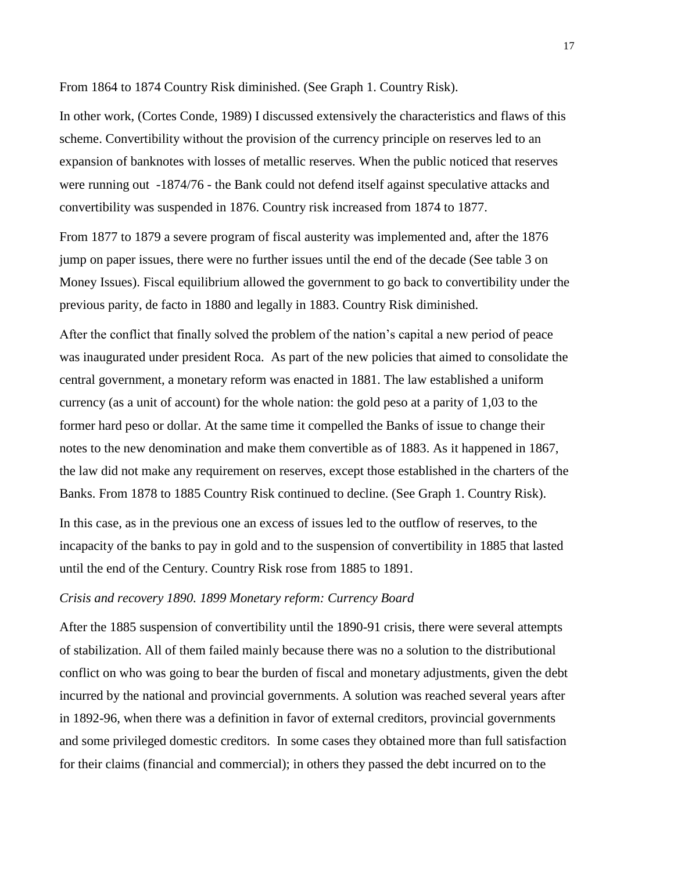From 1864 to 1874 Country Risk diminished. (See Graph 1. Country Risk).

In other work, (Cortes Conde, 1989) I discussed extensively the characteristics and flaws of this scheme. Convertibility without the provision of the currency principle on reserves led to an expansion of banknotes with losses of metallic reserves. When the public noticed that reserves were running out -1874/76 - the Bank could not defend itself against speculative attacks and convertibility was suspended in 1876. Country risk increased from 1874 to 1877.

From 1877 to 1879 a severe program of fiscal austerity was implemented and, after the 1876 jump on paper issues, there were no further issues until the end of the decade (See table 3 on Money Issues). Fiscal equilibrium allowed the government to go back to convertibility under the previous parity, de facto in 1880 and legally in 1883. Country Risk diminished.

After the conflict that finally solved the problem of the nation's capital a new period of peace was inaugurated under president Roca. As part of the new policies that aimed to consolidate the central government, a monetary reform was enacted in 1881. The law established a uniform currency (as a unit of account) for the whole nation: the gold peso at a parity of 1,03 to the former hard peso or dollar. At the same time it compelled the Banks of issue to change their notes to the new denomination and make them convertible as of 1883. As it happened in 1867, the law did not make any requirement on reserves, except those established in the charters of the Banks. From 1878 to 1885 Country Risk continued to decline. (See Graph 1. Country Risk).

In this case, as in the previous one an excess of issues led to the outflow of reserves, to the incapacity of the banks to pay in gold and to the suspension of convertibility in 1885 that lasted until the end of the Century. Country Risk rose from 1885 to 1891.

## *Crisis and recovery 1890. 1899 Monetary reform: Currency Board*

After the 1885 suspension of convertibility until the 1890-91 crisis, there were several attempts of stabilization. All of them failed mainly because there was no a solution to the distributional conflict on who was going to bear the burden of fiscal and monetary adjustments, given the debt incurred by the national and provincial governments. A solution was reached several years after in 1892-96, when there was a definition in favor of external creditors, provincial governments and some privileged domestic creditors. In some cases they obtained more than full satisfaction for their claims (financial and commercial); in others they passed the debt incurred on to the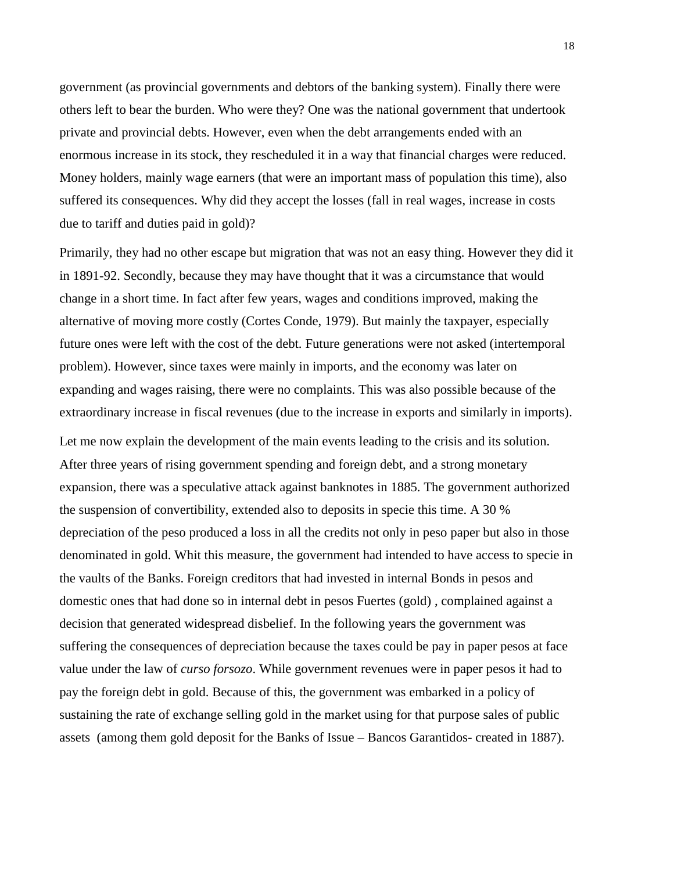government (as provincial governments and debtors of the banking system). Finally there were others left to bear the burden. Who were they? One was the national government that undertook private and provincial debts. However, even when the debt arrangements ended with an enormous increase in its stock, they rescheduled it in a way that financial charges were reduced. Money holders, mainly wage earners (that were an important mass of population this time), also suffered its consequences. Why did they accept the losses (fall in real wages, increase in costs due to tariff and duties paid in gold)?

Primarily, they had no other escape but migration that was not an easy thing. However they did it in 1891-92. Secondly, because they may have thought that it was a circumstance that would change in a short time. In fact after few years, wages and conditions improved, making the alternative of moving more costly (Cortes Conde, 1979). But mainly the taxpayer, especially future ones were left with the cost of the debt. Future generations were not asked (intertemporal problem). However, since taxes were mainly in imports, and the economy was later on expanding and wages raising, there were no complaints. This was also possible because of the extraordinary increase in fiscal revenues (due to the increase in exports and similarly in imports).

Let me now explain the development of the main events leading to the crisis and its solution. After three years of rising government spending and foreign debt, and a strong monetary expansion, there was a speculative attack against banknotes in 1885. The government authorized the suspension of convertibility, extended also to deposits in specie this time. A 30 % depreciation of the peso produced a loss in all the credits not only in peso paper but also in those denominated in gold. Whit this measure, the government had intended to have access to specie in the vaults of the Banks. Foreign creditors that had invested in internal Bonds in pesos and domestic ones that had done so in internal debt in pesos Fuertes (gold) , complained against a decision that generated widespread disbelief. In the following years the government was suffering the consequences of depreciation because the taxes could be pay in paper pesos at face value under the law of *curso forsozo*. While government revenues were in paper pesos it had to pay the foreign debt in gold. Because of this, the government was embarked in a policy of sustaining the rate of exchange selling gold in the market using for that purpose sales of public assets (among them gold deposit for the Banks of Issue – Bancos Garantidos- created in 1887).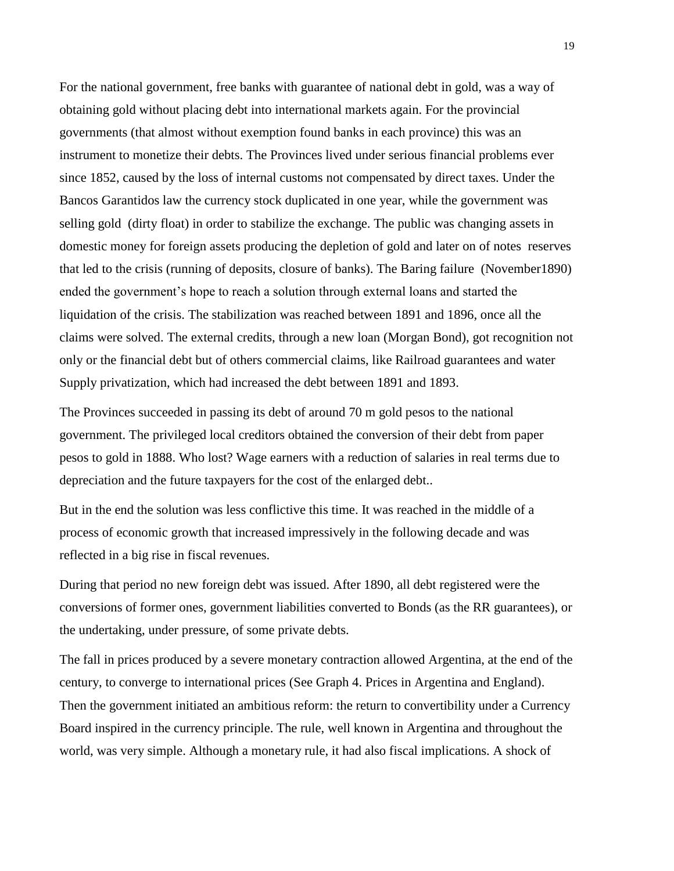For the national government, free banks with guarantee of national debt in gold, was a way of obtaining gold without placing debt into international markets again. For the provincial governments (that almost without exemption found banks in each province) this was an instrument to monetize their debts. The Provinces lived under serious financial problems ever since 1852, caused by the loss of internal customs not compensated by direct taxes. Under the Bancos Garantidos law the currency stock duplicated in one year, while the government was selling gold (dirty float) in order to stabilize the exchange. The public was changing assets in domestic money for foreign assets producing the depletion of gold and later on of notes reserves that led to the crisis (running of deposits, closure of banks). The Baring failure (November1890) ended the government's hope to reach a solution through external loans and started the liquidation of the crisis. The stabilization was reached between 1891 and 1896, once all the claims were solved. The external credits, through a new loan (Morgan Bond), got recognition not only or the financial debt but of others commercial claims, like Railroad guarantees and water Supply privatization, which had increased the debt between 1891 and 1893.

The Provinces succeeded in passing its debt of around 70 m gold pesos to the national government. The privileged local creditors obtained the conversion of their debt from paper pesos to gold in 1888. Who lost? Wage earners with a reduction of salaries in real terms due to depreciation and the future taxpayers for the cost of the enlarged debt..

But in the end the solution was less conflictive this time. It was reached in the middle of a process of economic growth that increased impressively in the following decade and was reflected in a big rise in fiscal revenues.

During that period no new foreign debt was issued. After 1890, all debt registered were the conversions of former ones, government liabilities converted to Bonds (as the RR guarantees), or the undertaking, under pressure, of some private debts.

The fall in prices produced by a severe monetary contraction allowed Argentina, at the end of the century, to converge to international prices (See Graph 4. Prices in Argentina and England). Then the government initiated an ambitious reform: the return to convertibility under a Currency Board inspired in the currency principle. The rule, well known in Argentina and throughout the world, was very simple. Although a monetary rule, it had also fiscal implications. A shock of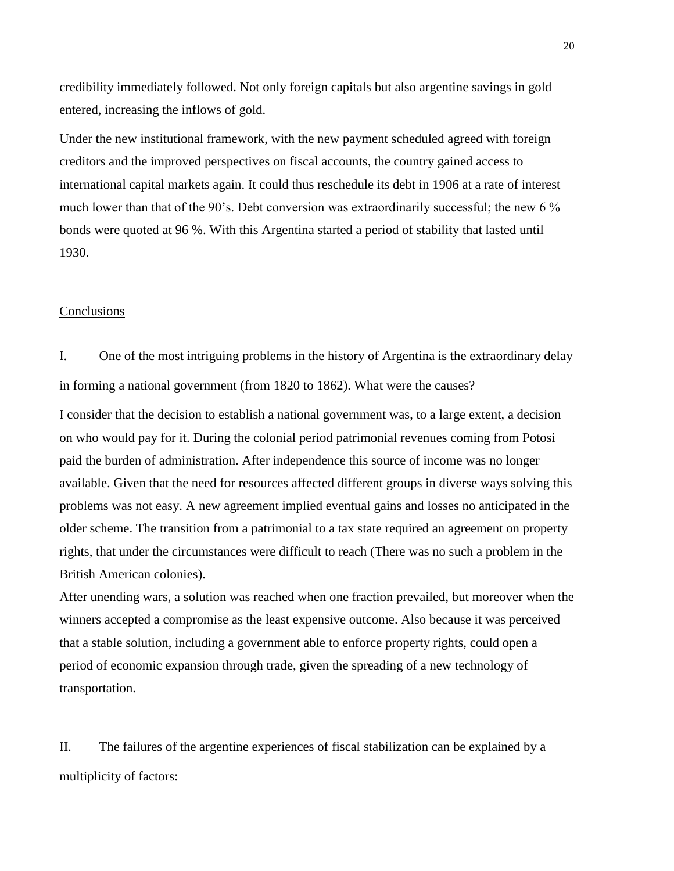credibility immediately followed. Not only foreign capitals but also argentine savings in gold entered, increasing the inflows of gold.

Under the new institutional framework, with the new payment scheduled agreed with foreign creditors and the improved perspectives on fiscal accounts, the country gained access to international capital markets again. It could thus reschedule its debt in 1906 at a rate of interest much lower than that of the 90's. Debt conversion was extraordinarily successful; the new 6 % bonds were quoted at 96 %. With this Argentina started a period of stability that lasted until 1930.

### Conclusions

I. One of the most intriguing problems in the history of Argentina is the extraordinary delay in forming a national government (from 1820 to 1862). What were the causes?

I consider that the decision to establish a national government was, to a large extent, a decision on who would pay for it. During the colonial period patrimonial revenues coming from Potosi paid the burden of administration. After independence this source of income was no longer available. Given that the need for resources affected different groups in diverse ways solving this problems was not easy. A new agreement implied eventual gains and losses no anticipated in the older scheme. The transition from a patrimonial to a tax state required an agreement on property rights, that under the circumstances were difficult to reach (There was no such a problem in the British American colonies).

After unending wars, a solution was reached when one fraction prevailed, but moreover when the winners accepted a compromise as the least expensive outcome. Also because it was perceived that a stable solution, including a government able to enforce property rights, could open a period of economic expansion through trade, given the spreading of a new technology of transportation.

II. The failures of the argentine experiences of fiscal stabilization can be explained by a multiplicity of factors: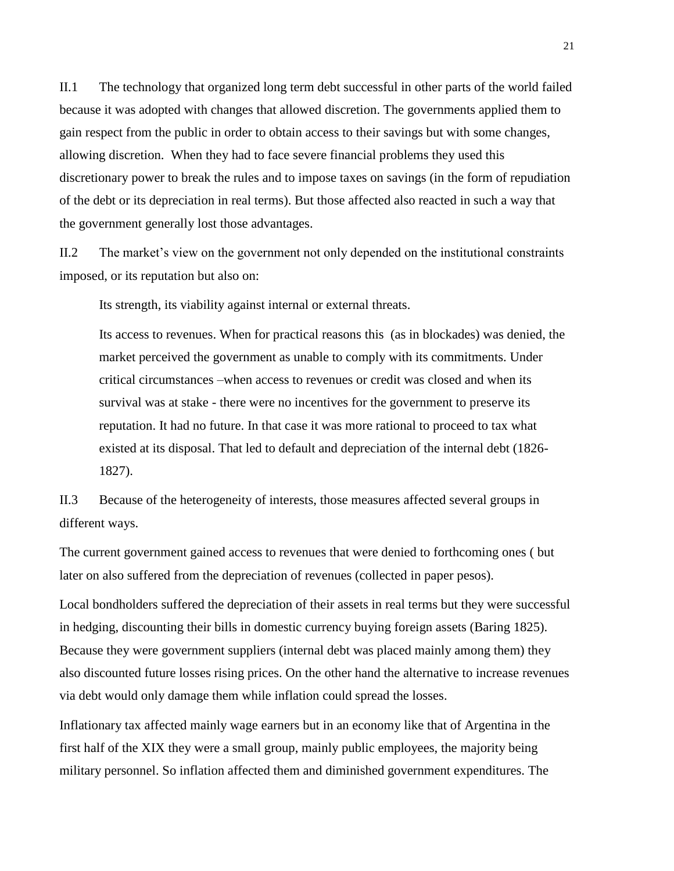II.1 The technology that organized long term debt successful in other parts of the world failed because it was adopted with changes that allowed discretion. The governments applied them to gain respect from the public in order to obtain access to their savings but with some changes, allowing discretion. When they had to face severe financial problems they used this discretionary power to break the rules and to impose taxes on savings (in the form of repudiation of the debt or its depreciation in real terms). But those affected also reacted in such a way that the government generally lost those advantages.

II.2 The market's view on the government not only depended on the institutional constraints imposed, or its reputation but also on:

Its strength, its viability against internal or external threats.

Its access to revenues. When for practical reasons this (as in blockades) was denied, the market perceived the government as unable to comply with its commitments. Under critical circumstances –when access to revenues or credit was closed and when its survival was at stake - there were no incentives for the government to preserve its reputation. It had no future. In that case it was more rational to proceed to tax what existed at its disposal. That led to default and depreciation of the internal debt (1826- 1827).

II.3 Because of the heterogeneity of interests, those measures affected several groups in different ways.

The current government gained access to revenues that were denied to forthcoming ones ( but later on also suffered from the depreciation of revenues (collected in paper pesos).

Local bondholders suffered the depreciation of their assets in real terms but they were successful in hedging, discounting their bills in domestic currency buying foreign assets (Baring 1825). Because they were government suppliers (internal debt was placed mainly among them) they also discounted future losses rising prices. On the other hand the alternative to increase revenues via debt would only damage them while inflation could spread the losses.

Inflationary tax affected mainly wage earners but in an economy like that of Argentina in the first half of the XIX they were a small group, mainly public employees, the majority being military personnel. So inflation affected them and diminished government expenditures. The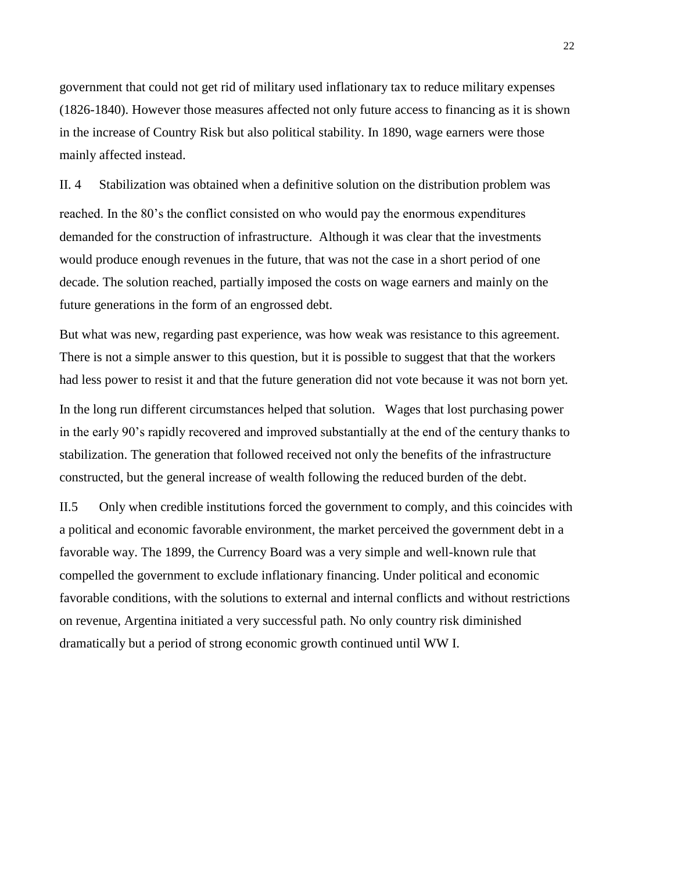government that could not get rid of military used inflationary tax to reduce military expenses (1826-1840). However those measures affected not only future access to financing as it is shown in the increase of Country Risk but also political stability. In 1890, wage earners were those mainly affected instead.

II. 4 Stabilization was obtained when a definitive solution on the distribution problem was reached. In the 80's the conflict consisted on who would pay the enormous expenditures demanded for the construction of infrastructure. Although it was clear that the investments would produce enough revenues in the future, that was not the case in a short period of one decade. The solution reached, partially imposed the costs on wage earners and mainly on the future generations in the form of an engrossed debt.

But what was new, regarding past experience, was how weak was resistance to this agreement. There is not a simple answer to this question, but it is possible to suggest that that the workers had less power to resist it and that the future generation did not vote because it was not born yet*.* In the long run different circumstances helped that solution. Wages that lost purchasing power in the early 90's rapidly recovered and improved substantially at the end of the century thanks to stabilization. The generation that followed received not only the benefits of the infrastructure constructed, but the general increase of wealth following the reduced burden of the debt.

II.5 Only when credible institutions forced the government to comply, and this coincides with a political and economic favorable environment*,* the market perceived the government debt in a favorable way. The 1899, the Currency Board was a very simple and well-known rule that compelled the government to exclude inflationary financing. Under political and economic favorable conditions, with the solutions to external and internal conflicts and without restrictions on revenue, Argentina initiated a very successful path. No only country risk diminished dramatically but a period of strong economic growth continued until WW I.